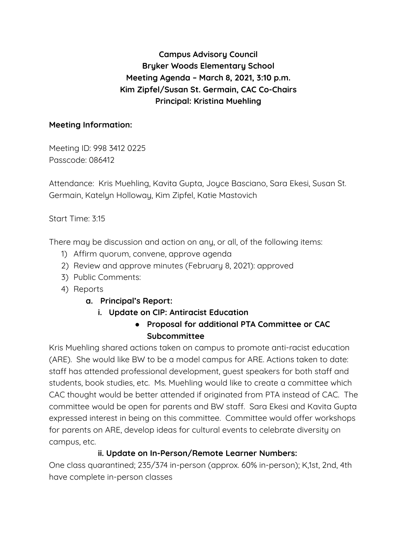# **Campus Advisory Council Bryker Woods Elementary School Meeting Agenda – March 8, 2021, 3:10 p.m. Kim Zipfel/Susan St. Germain, CAC Co-Chairs Principal: Kristina Muehling**

#### **Meeting Information:**

Meeting ID: 998 3412 0225 Passcode: 086412

Attendance: Kris Muehling, Kavita Gupta, Joyce Basciano, Sara Ekesi, Susan St. Germain, Katelyn Holloway, Kim Zipfel, Katie Mastovich

Start Time: 3:15

There may be discussion and action on any, or all, of the following items:

- 1) Affirm quorum, convene, approve agenda
- 2) Review and approve minutes (February 8, 2021): approved
- 3) Public Comments:
- 4) Reports
	- **a. Principal's Report:**
		- **i. Update on CIP: Antiracist Education**
			- **● Proposal for additional PTA Committee or CAC Subcommittee**

Kris Muehling shared actions taken on campus to promote anti-racist education (ARE). She would like BW to be a model campus for ARE. Actions taken to date: staff has attended professional development, guest speakers for both staff and students, book studies, etc. Ms. Muehling would like to create a committee which CAC thought would be better attended if originated from PTA instead of CAC. The committee would be open for parents and BW staff. Sara Ekesi and Kavita Gupta expressed interest in being on this committee. Committee would offer workshops for parents on ARE, develop ideas for cultural events to celebrate diversity on campus, etc.

## **ii. Update on In-Person/Remote Learner Numbers:**

One class quarantined; 235/374 in-person (approx. 60% in-person); K,1st, 2nd, 4th have complete in-person classes